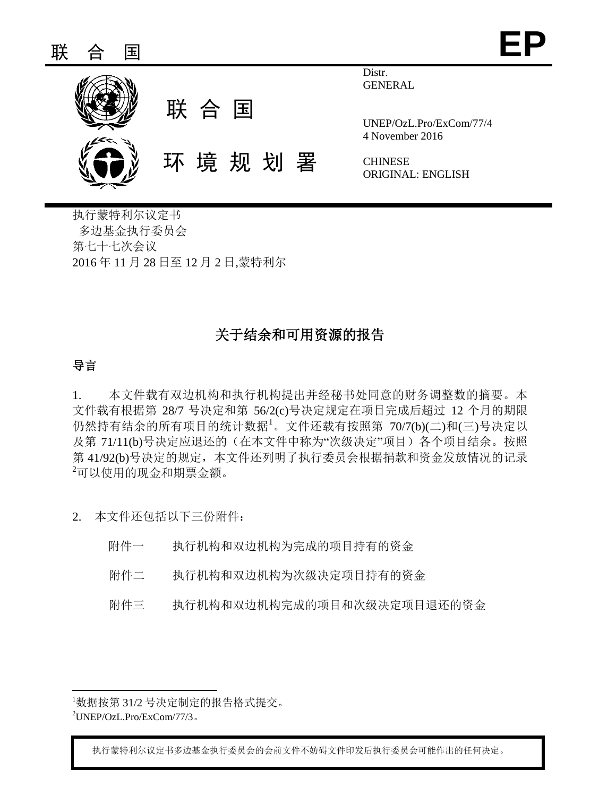

Distr. GENERAL

UNEP/OzL.Pro/ExCom/77/4 4 November 2016

**CHINESE** ORIGINAL: ENGLISH

执行蒙特利尔议定书 多边基金执行委员会 第七十七次会议 2016 年 11 月 28 日至 12 月 2 日,蒙特利尔

# 关于结余和可用资源的报告

## 导言

1. 本文件载有双边机构和执行机构提出并经秘书处同意的财务调整数的摘要。本 文件载有根据第 28/7 号决定和第 56/2(c)号决定规定在项目完成后超过 12 个月的期限 仍然持有结余的所有项目的统计数据<sup>1</sup>。文件还载有按照第 70/7(b)(二)和(三)号决定以 及第 71/11(b)号决定应退还的(在本文件中称为"次级决定"项目) 各个项目结余。按照 第 41/92(b)号决定的规定,本文件还列明了执行委员会根据捐款和资金发放情况的记录 <sup>2</sup>可以使用的现金和期票金额。

2. 本文件还包括以下三份附件:

- 附件一 执行机构和双边机构为完成的项目持有的资金
- 附件二 执行机构和双边机构为次级决定项目持有的资金
- 附件三 执行机构和双边机构完成的项目和次级决定项目退还的资金

执行蒙特利尔议定书多边基金执行委员会的会前文件不妨碍文件印发后执行委员会可能作出的任何决定。

l <sup>1</sup>数据按第 31/2 号决定制定的报告格式提交。

 $^{2}$ UNEP/OzL.Pro/ExCom/77/3。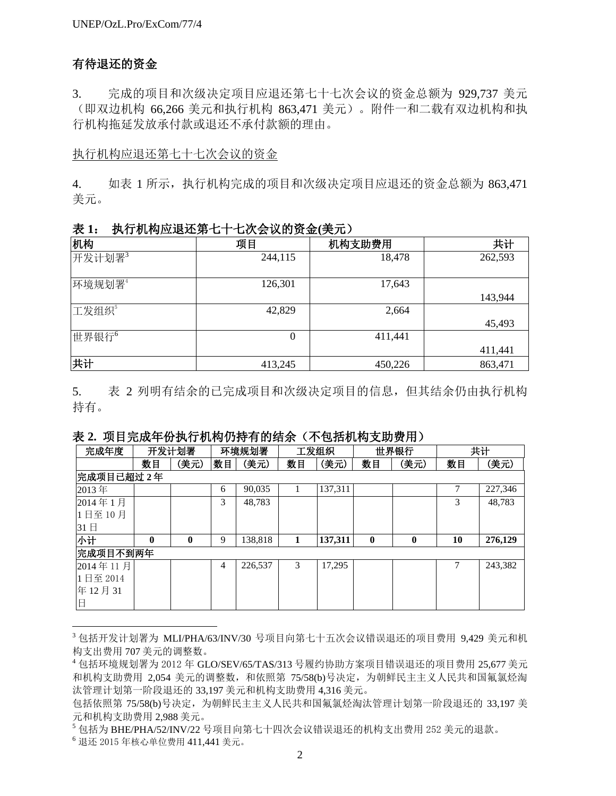## 有待退还的资金

3. 完成的项目和次级决定项目应退还第七十七次会议的资金总额为 929,737 美元 (即双边机构 66,266 美元和执行机构 863,471 美元)。附件一和二载有双边机构和执 行机构拖延发放承付款或退还不承付款额的理由。

## 执行机构应退还第七十七次会议的资金

4. 如表 1 所示, 执行机构完成的项目和次级决定项目应退还的资金总额为 863.471 美元。

| 4X 1:             | ⊔八云以Hリ火並(犬ノ⊔ノ |         |         |  |  |  |  |  |  |  |  |
|-------------------|---------------|---------|---------|--|--|--|--|--|--|--|--|
| 机构                | 项目            | 机构支助费用  | 共计      |  |  |  |  |  |  |  |  |
| 开发计划署3            | 244,115       | 18,478  | 262,593 |  |  |  |  |  |  |  |  |
| 环境规划署4            | 126,301       | 17,643  | 143,944 |  |  |  |  |  |  |  |  |
|                   |               |         |         |  |  |  |  |  |  |  |  |
| 工发组织"             | 42,829        | 2,664   |         |  |  |  |  |  |  |  |  |
|                   |               |         | 45,493  |  |  |  |  |  |  |  |  |
| 世界银行 <sup>6</sup> | 0             | 411,441 |         |  |  |  |  |  |  |  |  |
|                   |               |         | 411,441 |  |  |  |  |  |  |  |  |
| 共计                | 413,245       | 450,226 | 863,471 |  |  |  |  |  |  |  |  |

表 **1**:执行机构应退还第七十七次会议的资金**(**美元)

5. 表 2 列明有结余的已完成项目和次级决定项目的信息,但其结余仍由执行机构 持有。

## 表 **2.** 项目完成年份执行机构仍持有的结余(不包括机构支助费用)

| 完成年度     |              | 开发计划署        |                | 环境规划署   |               | 工发组织    |          | 世界银行             |    | 共计      |
|----------|--------------|--------------|----------------|---------|---------------|---------|----------|------------------|----|---------|
|          | 数目           | (美元)         | 数目             | (美元)    | 数目            | (美元)    | 数目       | (美元)             | 数目 | (美元)    |
|          | 完成项目已超过2年    |              |                |         |               |         |          |                  |    |         |
| 2013年    |              |              | 6              | 90,035  |               | 137,311 |          |                  | 7  | 227,346 |
| 2014年1月  |              |              | 3              | 48,783  |               |         |          |                  | 3  | 48,783  |
| 1日至10月   |              |              |                |         |               |         |          |                  |    |         |
| 31日      |              |              |                |         |               |         |          |                  |    |         |
| 小计       | $\mathbf{0}$ | $\mathbf{0}$ | 9              | 138,818 | 1             | 137,311 | $\bf{0}$ | $\boldsymbol{0}$ | 10 | 276,129 |
| 完成项目不到两年 |              |              |                |         |               |         |          |                  |    |         |
| 2014年11月 |              |              | $\overline{4}$ | 226,537 | $\mathcal{R}$ | 17,295  |          |                  |    | 243,382 |
| 1日至 2014 |              |              |                |         |               |         |          |                  |    |         |
| 年12月31   |              |              |                |         |               |         |          |                  |    |         |
| 旧        |              |              |                |         |               |         |          |                  |    |         |

<sup>3</sup> 包括开发计划署为 MLI/PHA/63/INV/30 号项目向第七十五次会议错误退还的项目费用 9,429 美元和机 构支出费用 707 美元的调整数。

<sup>4</sup> 包括环境规划署为 2012 年 GLO/SEV/65/TAS/313 号履约协助方案项目错误退还的项目费用 25,677 美元 和机构支助费用 2,054 美元的调整数,和依照第 75/58(b)号决定, 为朝鲜民主主义人民共和国氟氯烃淘 汰管理计划第一阶段退还的 33,197 美元和机构支助费用 4,316 美元。

l

包括依照第 75/58(b)号决定,为朝鲜民主主义人民共和国氟氯烃淘汰管理计划第一阶段退还的 33,197 美 元和机构支助费用 2,988 美元。

<sup>5</sup> 包括为 BHE/PHA/52/INV/22 号项目向第七十四次会议错误退还的机构支出费用 252 美元的退款。

<sup>6</sup> 退还 2015 年核心单位费用 411,441 美元。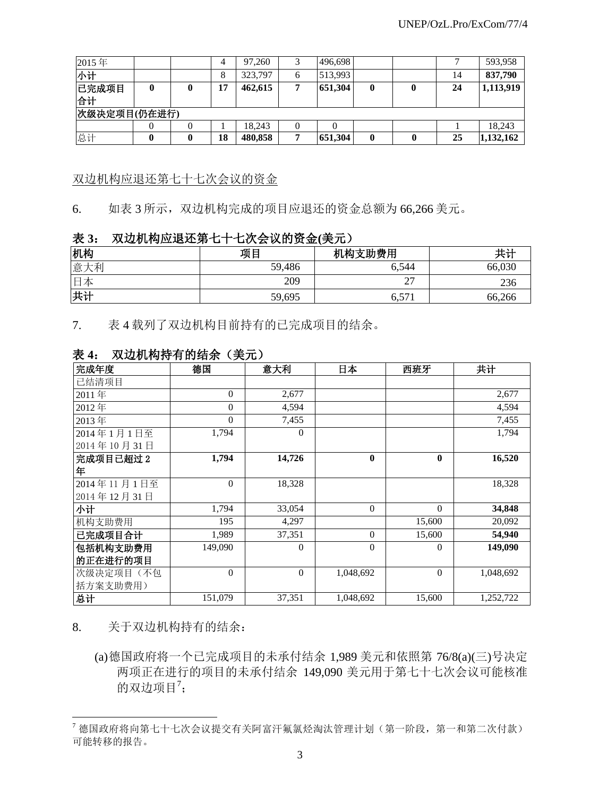| 2015年       |              |  | 4  | 97.260  |  | 496,698 |   |  |    | 593,958   |  |
|-------------|--------------|--|----|---------|--|---------|---|--|----|-----------|--|
| 小计          |              |  | 8  | 323,797 |  | 513,993 |   |  | 14 | 837,790   |  |
| 已完成项目<br>合计 |              |  | 17 | 462,615 |  | 651,304 | 0 |  | 24 | 1,113,919 |  |
|             | 次级决定项目(仍在进行) |  |    |         |  |         |   |  |    |           |  |
|             |              |  |    | 18.243  |  |         |   |  |    | 18,243    |  |
| 总计          |              |  | 18 | 480,858 |  | 651,304 |   |  | 25 | 1,132,162 |  |

## 双边机构应退还第七十七次会议的资金

6. 如表 3 所示,双边机构完成的项目应退还的资金总额为 66,266 美元。

## 表 **3**:双边机构应退还第七十七次会议的资金**(**美元)

| 机构  | 项目     | 机构支助费用 | 共计     |  |  |
|-----|--------|--------|--------|--|--|
| 意大利 | 59,486 | 6.544  | 66,030 |  |  |
| 日本  | 209    |        | 236    |  |  |
| 共计  | 59,695 | 6,57   | 66,266 |  |  |

7. 表 4 载列了双边机构目前持有的已完成项目的结余。

| 完成年度        | 德国       | 意大利      | 日本           | 西班牙          | 共计        |
|-------------|----------|----------|--------------|--------------|-----------|
| 已结清项目       |          |          |              |              |           |
| 2011年       | $\Omega$ | 2,677    |              |              | 2,677     |
| 2012年       | $\Omega$ | 4,594    |              |              | 4,594     |
| 2013年       | $\theta$ | 7,455    |              |              | 7,455     |
| 2014年1月1日至  | 1,794    | $\Omega$ |              |              | 1,794     |
| 2014年10月31日 |          |          |              |              |           |
| 完成项目已超过2    | 1,794    | 14,726   | $\mathbf{0}$ | $\mathbf{0}$ | 16,520    |
| 年           |          |          |              |              |           |
| 2014年11月1日至 | $\Omega$ | 18,328   |              |              | 18,328    |
| 2014年12月31日 |          |          |              |              |           |
| 小计          | 1,794    | 33,054   | $\Omega$     | $\Omega$     | 34,848    |
| 机构支助费用      | 195      | 4,297    |              | 15,600       | 20,092    |
| 已完成项目合计     | 1,989    | 37,351   | $\Omega$     | 15,600       | 54,940    |
| 包括机构支助费用    | 149,090  | 0        | $\Omega$     | $\Omega$     | 149,090   |
| 的正在进行的项目    |          |          |              |              |           |
| 次级决定项目(不包   | $\theta$ | $\Omega$ | 1,048,692    | $\theta$     | 1,048,692 |
| 括方案支助费用)    |          |          |              |              |           |
| 总计          | 151,079  | 37,351   | 1,048,692    | 15,600       | 1,252,722 |

## 表 **4**:双边机构持有的结余(美元)

8. 关于双边机构持有的结余:

 $\overline{a}$ 

(a)德国政府将一个已完成项目的未承付结余 1,989 美元和依照第 76/8(a)(三)号决定 两项正在进行的项目的未承付结余 149,090 美元用于第七十七次会议可能核准 的双边项目 $7$ ;

<sup>7</sup> 德国政府将向第七十七次会议提交有关阿富汗氟氯烃淘汰管理计划(第一阶段,第一和第二次付款) 可能转移的报告。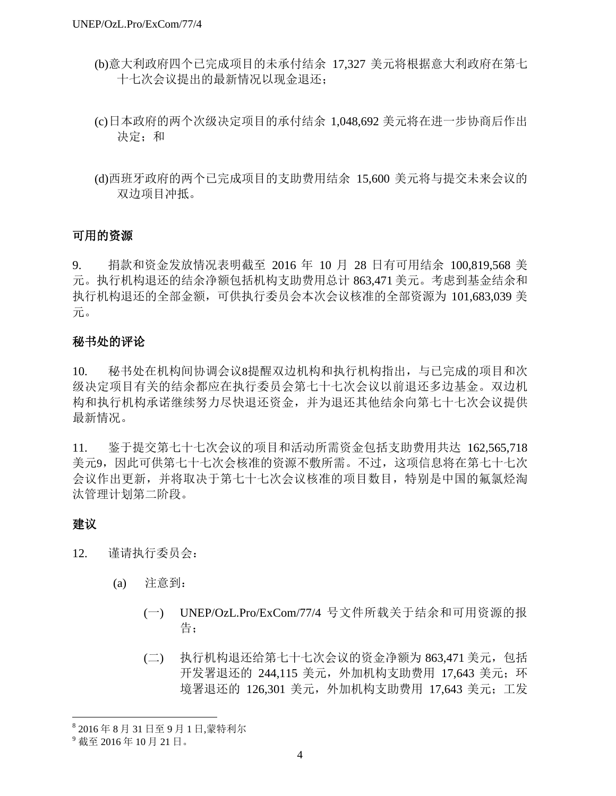- (b)意大利政府四个已完成项目的未承付结余 17,327 美元将根据意大利政府在第七 十七次会议提出的最新情况以现金退还;
- (c)日本政府的两个次级决定项目的承付结余 1,048,692 美元将在进一步协商后作出 决定;和
- (d)西班牙政府的两个已完成项目的支助费用结余 15,600 美元将与提交未来会议的 双边项目冲抵。

## 可用的资源

9. 捐款和资金发放情况表明截至 2016 年 10 月 28 日有可用结余 100,819,568 美 元。执行机构退还的结余净额包括机构支助费用总计 863,471 美元。考虑到基金结余和 执行机构退还的全部金额,可供执行委员会本次会议核准的全部资源为 101,683,039 美 元。

## 秘书处的评论

10. 秘书处在机构间协调会议8提醒双边机构和执行机构指出,与已完成的项目和次 级决定项目有关的结余都应在执行委员会第七十七次会议以前退还多边基金。双边机 构和执行机构承诺继续努力尽快退还资金,并为退还其他结余向第七十七次会议提供 最新情况。

11. 鉴于提交第七十七次会议的项目和活动所需资金包括支助费用共达 162,565,718 美元9,因此可供第七十七次会核准的资源不敷所需。不过,这项信息将在第七十七次 会议作出更新,并将取决于第七十七次会议核准的项目数目,特别是中国的氟氯烃淘 汰管理计划第二阶段。

## 建议

 $\overline{a}$ 

- 12. 谨请执行委员会:
	- (a) 注意到:
		- (一) UNEP/OzL.Pro/ExCom/77/4 号文件所载关于结余和可用资源的报 告;
		- (二) 执行机构退还给第七十七次会议的资金净额为 863,471 美元,包括 开发署退还的 244.115 美元, 外加机构支助费用 17.643 美元; 环 境署退还的 126,301 美元, 外加机构支助费用 17,643 美元; 工发

<sup>8</sup> 2016 年 8 月 31 日至 9 月 1 日,蒙特利尔

<sup>9</sup> 截至 2016 年 10 月 21 日。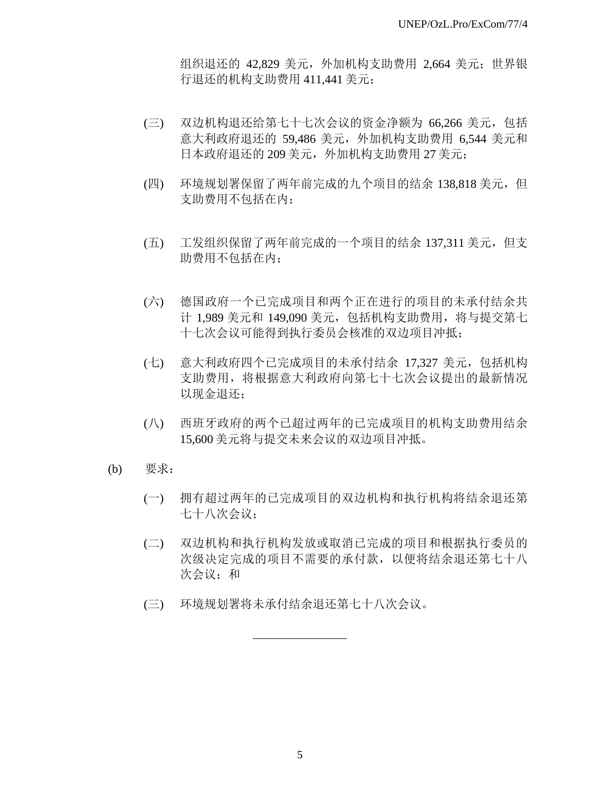组织退还的 42,829 美元,外加机构支助费用 2,664 美元;世界银 行退还的机构支助费用 411,441 美元;

- (三) 双边机构退还给第七十七次会议的资金净额为 66,266 美元,包括 意大利政府退还的 59,486 美元,外加机构支助费用 6,544 美元和 日本政府退还的 209 美元,外加机构支助费用 27 美元;
- (四) 环境规划署保留了两年前完成的九个项目的结余 138,818 美元, 但 支助费用不包括在内;
- (五) 工发组织保留了两年前完成的一个项目的结余 137,311 美元,但支 助费用不包括在内;
- (六) 德国政府一个已完成项目和两个正在进行的项目的未承付结余共 计 1,989 美元和 149,090 美元,包括机构支助费用,将与提交第七 十七次会议可能得到执行委员会核准的双边项目冲抵;
- (七) 意大利政府四个已完成项目的未承付结余 17,327 美元,包括机构 支助费用,将根据意大利政府向第七十七次会议提出的最新情况 以现金退还;
- (八) 西班牙政府的两个已超过两年的已完成项目的机构支助费用结余 15,600 美元将与提交未来会议的双边项目冲抵。
- (b) 要求:
	- (一) 拥有超过两年的已完成项目的双边机构和执行机构将结余退还第 七十八次会议;
	- (二) 双边机构和执行机构发放或取消已完成的项目和根据执行委员的 次级决定完成的项目不需要的承付款,以便将结余退还第七十八 次会议;和
	- (三) 环境规划署将未承付结余退还第七十八次会议。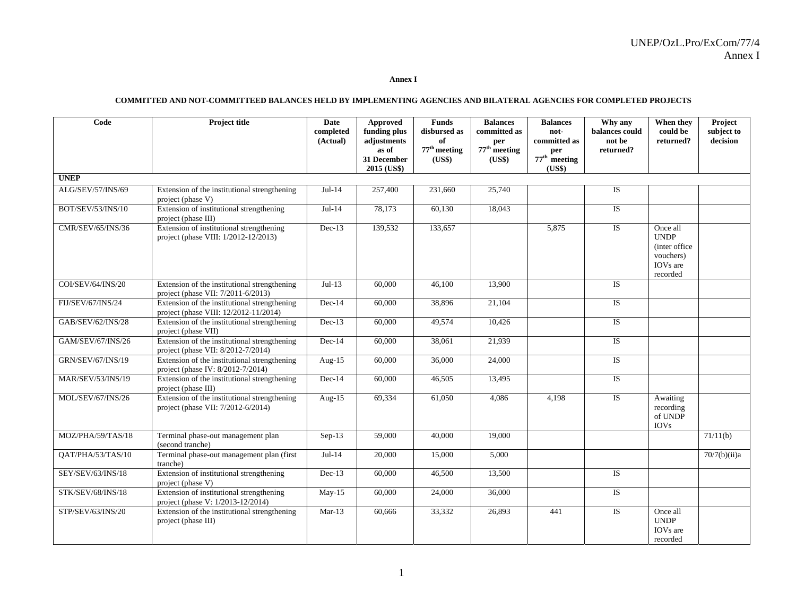#### **Annex I**

#### **COMMITTED AND NOT-COMMITTEED BALANCES HELD BY IMPLEMENTING AGENCIES AND BILATERAL AGENCIES FOR COMPLETED PROJECTS**

| Code                     | <b>Project title</b>                                                                  | Date<br>completed<br>(Actual) | Approved<br>funding plus<br>adjustments<br>as of<br>31 December<br>2015 (US\$) | <b>Funds</b><br>disbursed as<br>of<br>$77th$ meeting<br>(US\$) | <b>Balances</b><br>committed as<br>per<br>$77th$ meeting<br>(US\$) | <b>Balances</b><br>not-<br>committed as<br>per<br>$77th$ meeting<br>(US\$) | Why any<br>balances could<br>not be<br>returned? | When they<br>could be<br>returned?                                                         | Project<br>subject to<br>decision |
|--------------------------|---------------------------------------------------------------------------------------|-------------------------------|--------------------------------------------------------------------------------|----------------------------------------------------------------|--------------------------------------------------------------------|----------------------------------------------------------------------------|--------------------------------------------------|--------------------------------------------------------------------------------------------|-----------------------------------|
| <b>UNEP</b>              |                                                                                       |                               |                                                                                |                                                                |                                                                    |                                                                            |                                                  |                                                                                            |                                   |
| ALG/SEV/57/INS/69        | Extension of the institutional strengthening<br>project (phase V)                     | $Jul-14$                      | 257,400                                                                        | 231,660                                                        | 25,740                                                             |                                                                            | IS                                               |                                                                                            |                                   |
| BOT/SEV/53/INS/10        | Extension of institutional strengthening<br>project (phase III)                       | $Jul-14$                      | 78,173                                                                         | 60,130                                                         | 18,043                                                             |                                                                            | <b>IS</b>                                        |                                                                                            |                                   |
| CMR/SEV/65/INS/36        | Extension of institutional strengthening<br>project (phase VIII: 1/2012-12/2013)      | $Dec-13$                      | 139.532                                                                        | 133,657                                                        |                                                                    | 5,875                                                                      | <b>IS</b>                                        | Once all<br><b>UNDP</b><br>(inter office)<br>vouchers)<br>IOV <sub>s</sub> are<br>recorded |                                   |
| COI/SEV/64/INS/20        | Extension of the institutional strengthening<br>project (phase VII: 7/2011-6/2013)    | $Jul-13$                      | 60,000                                                                         | 46,100                                                         | 13,900                                                             |                                                                            | <b>IS</b>                                        |                                                                                            |                                   |
| FIJ/SEV/67/INS/24        | Extension of the institutional strengthening<br>project (phase VIII: 12/2012-11/2014) | $Dec-14$                      | 60,000                                                                         | 38,896                                                         | 21,104                                                             |                                                                            | $\overline{1S}$                                  |                                                                                            |                                   |
| GAB/SEV/62/INS/28        | Extension of the institutional strengthening<br>project (phase VII)                   | $Dec-13$                      | 60,000                                                                         | 49,574                                                         | 10,426                                                             |                                                                            | <b>IS</b>                                        |                                                                                            |                                   |
| GAM/SEV/67/INS/26        | Extension of the institutional strengthening<br>project (phase VII: 8/2012-7/2014)    | $Dec-14$                      | 60,000                                                                         | 38,061                                                         | 21,939                                                             |                                                                            | <b>IS</b>                                        |                                                                                            |                                   |
| <b>GRN/SEV/67/INS/19</b> | Extension of the institutional strengthening<br>project (phase IV: 8/2012-7/2014)     | Aug- $15$                     | 60,000                                                                         | 36,000                                                         | 24,000                                                             |                                                                            | <b>IS</b>                                        |                                                                                            |                                   |
| <b>MAR/SEV/53/INS/19</b> | Extension of the institutional strengthening<br>project (phase III)                   | $Dec-14$                      | 60,000                                                                         | 46,505                                                         | 13,495                                                             |                                                                            | <b>IS</b>                                        |                                                                                            |                                   |
| MOL/SEV/67/INS/26        | Extension of the institutional strengthening<br>project (phase VII: 7/2012-6/2014)    | Aug- $15$                     | 69,334                                                                         | 61,050                                                         | 4,086                                                              | 4,198                                                                      | <b>IS</b>                                        | Awaiting<br>recording<br>of UNDP<br><b>IOVs</b>                                            |                                   |
| MOZ/PHA/59/TAS/18        | Terminal phase-out management plan<br>(second tranche)                                | Sep-13                        | 59,000                                                                         | 40,000                                                         | 19,000                                                             |                                                                            |                                                  |                                                                                            | 71/11(b)                          |
| QAT/PHA/53/TAS/10        | Terminal phase-out management plan (first<br>tranche)                                 | $Jul-14$                      | 20,000                                                                         | 15,000                                                         | 5,000                                                              |                                                                            |                                                  |                                                                                            | 70/7(b)(ii)a                      |
| SEY/SEV/63/INS/18        | Extension of institutional strengthening<br>project (phase V)                         | $Dec-13$                      | 60,000                                                                         | 46,500                                                         | 13,500                                                             |                                                                            | <b>IS</b>                                        |                                                                                            |                                   |
| STK/SEV/68/INS/18        | Extension of institutional strengthening<br>project (phase V: 1/2013-12/2014)         | $May-15$                      | 60,000                                                                         | 24,000                                                         | 36,000                                                             |                                                                            | $\overline{1S}$                                  |                                                                                            |                                   |
| STP/SEV/63/INS/20        | Extension of the institutional strengthening<br>project (phase III)                   | $Mar-13$                      | 60,666                                                                         | 33,332                                                         | 26,893                                                             | 441                                                                        | <b>IS</b>                                        | Once all<br><b>UNDP</b><br>IOV <sub>s</sub> are<br>recorded                                |                                   |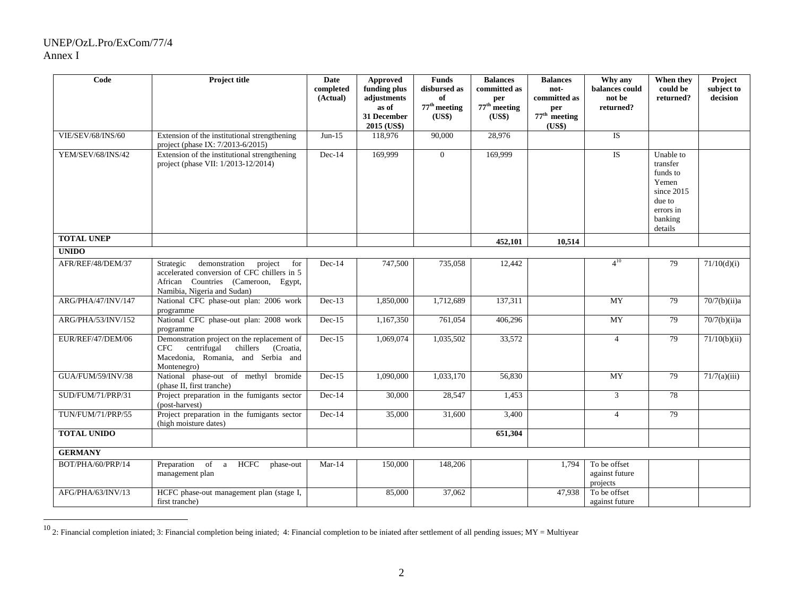## UNEP/OzL.Pro/ExCom/77/4 Annex I

| Code               | <b>Project title</b>                                                                                                                                              | <b>Date</b><br>completed<br>(Actual) | <b>Approved</b><br>funding plus<br>adjustments<br>as of<br>31 December<br>2015 (US\$) | <b>Funds</b><br>disbursed as<br>of<br>$77th$ meeting<br>(US\$) | <b>Balances</b><br>committed as<br>per<br>$77th$ meeting<br>(US\$) | <b>Balances</b><br>not-<br>committed as<br>per<br>$77th$ meeting<br>(US\$) | Why any<br>balances could<br>not be<br>returned? | When they<br>could be<br>returned?                                                                    | Project<br>subject to<br>decision |
|--------------------|-------------------------------------------------------------------------------------------------------------------------------------------------------------------|--------------------------------------|---------------------------------------------------------------------------------------|----------------------------------------------------------------|--------------------------------------------------------------------|----------------------------------------------------------------------------|--------------------------------------------------|-------------------------------------------------------------------------------------------------------|-----------------------------------|
| VIE/SEV/68/INS/60  | Extension of the institutional strengthening<br>project (phase IX: 7/2013-6/2015)                                                                                 | $Jun-15$                             | 118,976                                                                               | 90,000                                                         | 28.976                                                             |                                                                            | <b>IS</b>                                        |                                                                                                       |                                   |
| YEM/SEV/68/INS/42  | Extension of the institutional strengthening<br>project (phase VII: 1/2013-12/2014)                                                                               | $Dec-14$                             | 169,999                                                                               | $\overline{0}$                                                 | 169,999                                                            |                                                                            | <b>IS</b>                                        | Unable to<br>transfer<br>funds to<br>Yemen<br>since 2015<br>due to<br>errors in<br>banking<br>details |                                   |
| <b>TOTAL UNEP</b>  |                                                                                                                                                                   |                                      |                                                                                       |                                                                | 452,101                                                            | 10,514                                                                     |                                                  |                                                                                                       |                                   |
| <b>UNIDO</b>       |                                                                                                                                                                   |                                      |                                                                                       |                                                                |                                                                    |                                                                            |                                                  |                                                                                                       |                                   |
| AFR/REF/48/DEM/37  | Strategic<br>demonstration<br>project<br>for<br>accelerated conversion of CFC chillers in 5<br>African Countries (Cameroon, Egypt,<br>Namibia, Nigeria and Sudan) | $Dec-14$                             | 747,500                                                                               | 735,058                                                        | 12,442                                                             |                                                                            | $4^{10}$                                         | 79                                                                                                    | 71/10(d)(i)                       |
| ARG/PHA/47/INV/147 | National CFC phase-out plan: 2006 work<br>programme                                                                                                               | $Dec-13$                             | 1,850,000                                                                             | 1,712,689                                                      | 137,311                                                            |                                                                            | <b>MY</b>                                        | 79                                                                                                    | 70/7(b)(ii)a                      |
| ARG/PHA/53/INV/152 | National CFC phase-out plan: 2008 work<br>programme                                                                                                               | $Dec-15$                             | 1,167,350                                                                             | 761,054                                                        | 406,296                                                            |                                                                            | <b>MY</b>                                        | 79                                                                                                    | 70/7(b)(ii)a                      |
| EUR/REF/47/DEM/06  | Demonstration project on the replacement of<br>centrifugal<br>chillers<br>(Croatia,<br><b>CFC</b><br>Macedonia, Romania, and Serbia and<br>Montenegro)            | $Dec-15$                             | 1,069,074                                                                             | 1,035,502                                                      | 33,572                                                             |                                                                            | $\overline{4}$                                   | 79                                                                                                    | $\sqrt{71/10(b)}$ (ii)            |
| GUA/FUM/59/INV/38  | National phase-out of methyl bromide<br>(phase II, first tranche)                                                                                                 | $Dec-15$                             | 1,090,000                                                                             | 1,033,170                                                      | 56,830                                                             |                                                                            | MY                                               | 79                                                                                                    | 71/7(a)(iii)                      |
| SUD/FUM/71/PRP/31  | Project preparation in the fumigants sector<br>(post-harvest)                                                                                                     | $Dec-14$                             | 30,000                                                                                | 28,547                                                         | 1,453                                                              |                                                                            | $\mathfrak{Z}$                                   | 78                                                                                                    |                                   |
| TUN/FUM/71/PRP/55  | Project preparation in the fumigants sector<br>(high moisture dates)                                                                                              | $Dec-14$                             | 35,000                                                                                | 31,600                                                         | 3,400                                                              |                                                                            | $\overline{4}$                                   | 79                                                                                                    |                                   |
| <b>TOTAL UNIDO</b> |                                                                                                                                                                   |                                      |                                                                                       |                                                                | 651,304                                                            |                                                                            |                                                  |                                                                                                       |                                   |
| <b>GERMANY</b>     |                                                                                                                                                                   |                                      |                                                                                       |                                                                |                                                                    |                                                                            |                                                  |                                                                                                       |                                   |
| BOT/PHA/60/PRP/14  | Preparation of a<br>HCFC<br>phase-out<br>management plan                                                                                                          | $Mar-14$                             | 150,000                                                                               | 148,206                                                        |                                                                    | 1.794                                                                      | To be offset<br>against future<br>projects       |                                                                                                       |                                   |
| AFG/PHA/63/INV/13  | HCFC phase-out management plan (stage I,<br>first tranche)                                                                                                        |                                      | 85,000                                                                                | 37,062                                                         |                                                                    | 47,938                                                                     | To be offset<br>against future                   |                                                                                                       |                                   |

 $10$  2: Financial completion iniated; 3: Financial completion being iniated; 4: Financial completion to be iniated after settlement of all pending issues; MY = Multiyear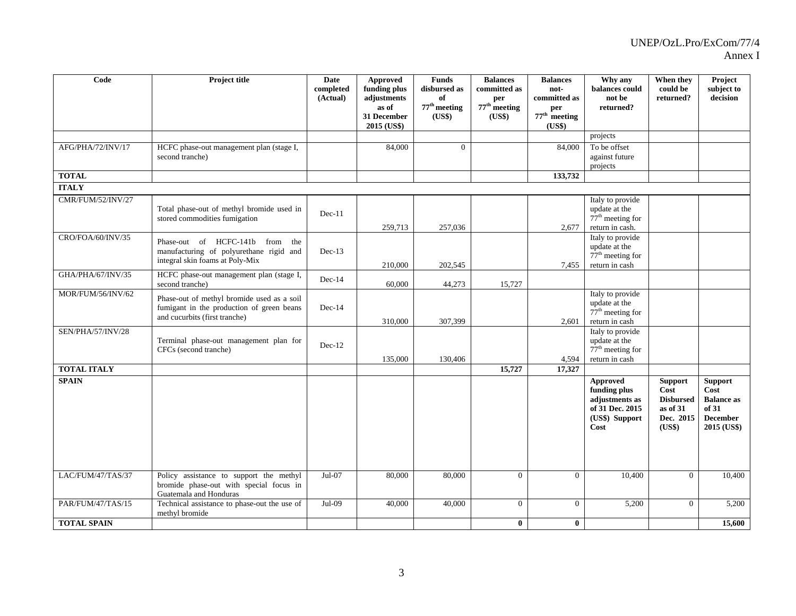| Code               | Project title                                                                                                            | Date<br>completed<br>(Actual) | Approved<br>funding plus<br>adjustments<br>as of<br>31 December<br>2015 (US\$) | <b>Funds</b><br>disbursed as<br>of<br>$77^{\rm th}$ meeting<br>(US\$) | <b>Balances</b><br>committed as<br>per<br>$77th$ meeting<br>(US\$) | <b>Balances</b><br>not-<br>committed as<br>per<br>$77th$ meeting<br>(US\$) | Why any<br>balances could<br>not be<br>returned?                                               | When they<br>could be<br>returned?                                            | Project<br>subject to<br>decision                                                      |
|--------------------|--------------------------------------------------------------------------------------------------------------------------|-------------------------------|--------------------------------------------------------------------------------|-----------------------------------------------------------------------|--------------------------------------------------------------------|----------------------------------------------------------------------------|------------------------------------------------------------------------------------------------|-------------------------------------------------------------------------------|----------------------------------------------------------------------------------------|
|                    |                                                                                                                          |                               |                                                                                |                                                                       |                                                                    |                                                                            | projects                                                                                       |                                                                               |                                                                                        |
| AFG/PHA/72/INV/17  | HCFC phase-out management plan (stage I,<br>second tranche)                                                              |                               | 84,000                                                                         | $\overline{0}$                                                        |                                                                    | 84,000                                                                     | To be offset<br>against future<br>projects                                                     |                                                                               |                                                                                        |
| <b>TOTAL</b>       |                                                                                                                          |                               |                                                                                |                                                                       |                                                                    | 133,732                                                                    |                                                                                                |                                                                               |                                                                                        |
| <b>ITALY</b>       |                                                                                                                          |                               |                                                                                |                                                                       |                                                                    |                                                                            |                                                                                                |                                                                               |                                                                                        |
| CMR/FUM/52/INV/27  | Total phase-out of methyl bromide used in<br>stored commodities fumigation                                               | Dec-11                        | 259,713                                                                        | 257,036                                                               |                                                                    | 2,677                                                                      | Italy to provide<br>update at the<br>$77th$ meeting for<br>return in cash.                     |                                                                               |                                                                                        |
| CRO/FOA/60/INV/35  | Phase-out of HCFC-141b from<br>the<br>manufacturing of polyurethane rigid and<br>integral skin foams at Poly-Mix         | $Dec-13$                      | 210,000                                                                        | 202,545                                                               |                                                                    | 7,455                                                                      | Italy to provide<br>update at the<br>$77th$ meeting for<br>return in cash                      |                                                                               |                                                                                        |
| GHA/PHA/67/INV/35  | HCFC phase-out management plan (stage I,<br>second tranche)                                                              | $Dec-14$                      | 60,000                                                                         | 44,273                                                                | 15,727                                                             |                                                                            |                                                                                                |                                                                               |                                                                                        |
| MOR/FUM/56/INV/62  | Phase-out of methyl bromide used as a soil<br>fumigant in the production of green beans<br>and cucurbits (first tranche) | $Dec-14$                      | 310,000                                                                        | 307,399                                                               |                                                                    | 2,601                                                                      | Italy to provide<br>update at the<br>$77th$ meeting for<br>return in cash                      |                                                                               |                                                                                        |
| SEN/PHA/57/INV/28  | Terminal phase-out management plan for<br>CFCs (second tranche)                                                          | $Dec-12$                      | 135,000                                                                        | 130,406                                                               |                                                                    | 4,594                                                                      | Italy to provide<br>update at the<br>$77th$ meeting for<br>return in cash                      |                                                                               |                                                                                        |
| <b>TOTAL ITALY</b> |                                                                                                                          |                               |                                                                                |                                                                       | 15,727                                                             | 17,327                                                                     |                                                                                                |                                                                               |                                                                                        |
| <b>SPAIN</b>       |                                                                                                                          |                               |                                                                                |                                                                       |                                                                    |                                                                            | <b>Approved</b><br>funding plus<br>adjustments as<br>of 31 Dec. 2015<br>(US\$) Support<br>Cost | <b>Support</b><br>Cost<br><b>Disbursed</b><br>as of 31<br>Dec. 2015<br>(US\$) | <b>Support</b><br>Cost<br><b>Balance as</b><br>of 31<br><b>December</b><br>2015 (US\$) |
| LAC/FUM/47/TAS/37  | Policy assistance to support the methyl                                                                                  | $Jul-07$                      | 80,000                                                                         | 80,000                                                                | $\overline{0}$                                                     | $\mathbf{0}$                                                               | 10,400                                                                                         | $\overline{0}$                                                                | 10,400                                                                                 |
|                    | bromide phase-out with special focus in<br>Guatemala and Honduras                                                        |                               |                                                                                |                                                                       |                                                                    |                                                                            |                                                                                                |                                                                               |                                                                                        |
| PAR/FUM/47/TAS/15  | Technical assistance to phase-out the use of<br>methyl bromide                                                           | Jul-09                        | 40,000                                                                         | 40,000                                                                | $\Omega$                                                           | $\Omega$                                                                   | 5,200                                                                                          | $\overline{0}$                                                                | 5,200                                                                                  |
| <b>TOTAL SPAIN</b> |                                                                                                                          |                               |                                                                                |                                                                       | $\bf{0}$                                                           | $\bf{0}$                                                                   |                                                                                                |                                                                               | 15,600                                                                                 |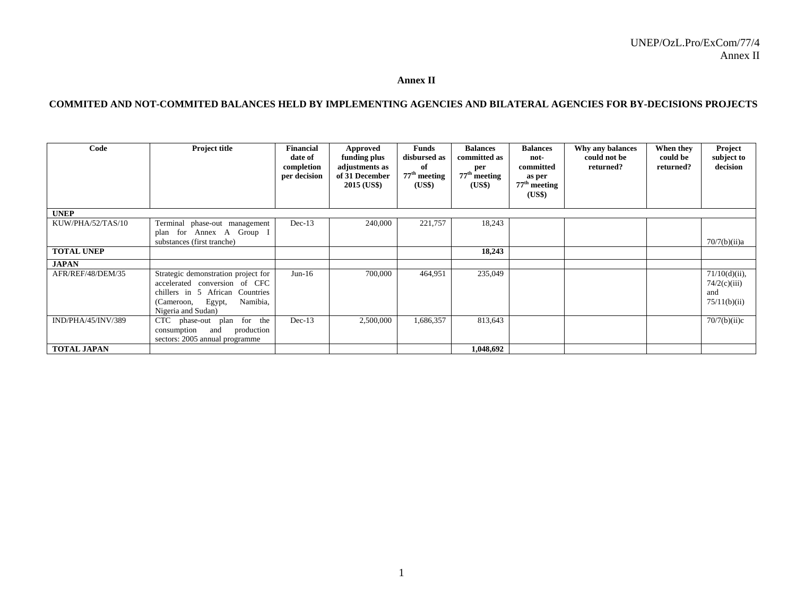#### **Annex II**

### **COMMITED AND NOT-COMMITED BALANCES HELD BY IMPLEMENTING AGENCIES AND BILATERAL AGENCIES FOR BY-DECISIONS PROJECTS**

| Code               | Project title                                                                                                                                                     | <b>Financial</b><br>date of<br>completion<br>per decision | <b>Approved</b><br>funding plus<br>adjustments as<br>of 31 December<br>2015 (US\$) | <b>Funds</b><br>disbursed as<br>of<br>$77th$ meeting<br>(US\$) | <b>Balances</b><br>committed as<br>per<br>$77^{\text{th}}$ meeting<br>(US\$) | <b>Balances</b><br>not-<br>committed<br>as per<br>$77^{\rm th}$ meeting<br>(US\$) | Why any balances<br>could not be<br>returned? | When they<br>could be<br>returned? | Project<br>subject to<br>decision                       |
|--------------------|-------------------------------------------------------------------------------------------------------------------------------------------------------------------|-----------------------------------------------------------|------------------------------------------------------------------------------------|----------------------------------------------------------------|------------------------------------------------------------------------------|-----------------------------------------------------------------------------------|-----------------------------------------------|------------------------------------|---------------------------------------------------------|
| <b>UNEP</b>        |                                                                                                                                                                   |                                                           |                                                                                    |                                                                |                                                                              |                                                                                   |                                               |                                    |                                                         |
| KUW/PHA/52/TAS/10  | Terminal phase-out management<br>plan for Annex A Group I<br>substances (first tranche)                                                                           | $Dec-13$                                                  | 240,000                                                                            | 221,757                                                        | 18,243                                                                       |                                                                                   |                                               |                                    | 70/7(b)(ii)a                                            |
| <b>TOTAL UNEP</b>  |                                                                                                                                                                   |                                                           |                                                                                    |                                                                | 18,243                                                                       |                                                                                   |                                               |                                    |                                                         |
| <b>JAPAN</b>       |                                                                                                                                                                   |                                                           |                                                                                    |                                                                |                                                                              |                                                                                   |                                               |                                    |                                                         |
| AFR/REF/48/DEM/35  | Strategic demonstration project for<br>accelerated conversion of CFC<br>chillers in 5 African Countries<br>Egypt,<br>Namibia,<br>(Cameroon,<br>Nigeria and Sudan) | $Jun-16$                                                  | 700,000                                                                            | 464,951                                                        | 235,049                                                                      |                                                                                   |                                               |                                    | $71/10(d)(ii)$ ,<br>74/2(c)(iii)<br>and<br>75/11(b)(ii) |
| IND/PHA/45/INV/389 | for the<br>CTC phase-out plan<br>production<br>consumption<br>and<br>sectors: 2005 annual programme                                                               | $Dec-13$                                                  | 2,500,000                                                                          | 1,686,357                                                      | 813,643                                                                      |                                                                                   |                                               |                                    | 70/7(b)(ii)c                                            |
| <b>TOTAL JAPAN</b> |                                                                                                                                                                   |                                                           |                                                                                    |                                                                | 1,048,692                                                                    |                                                                                   |                                               |                                    |                                                         |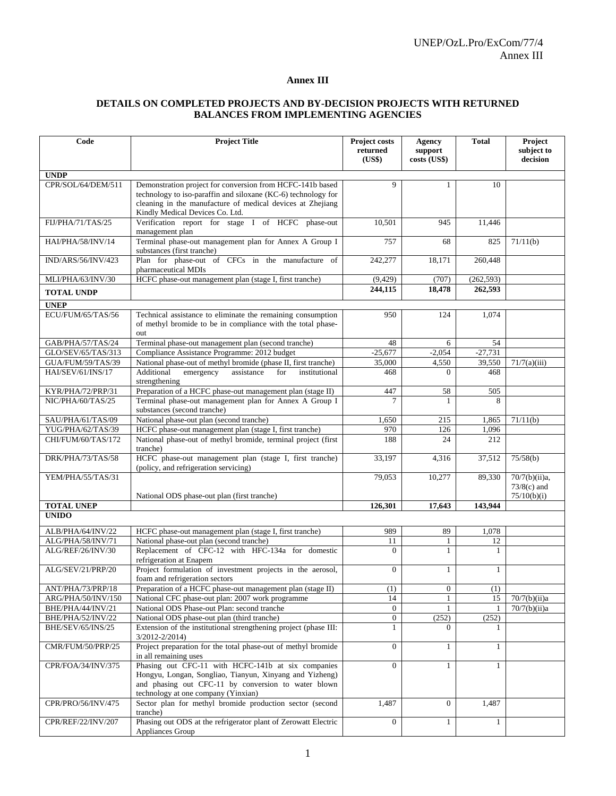### **Annex III**

### **DETAILS ON COMPLETED PROJECTS AND BY-DECISION PROJECTS WITH RETURNED BALANCES FROM IMPLEMENTING AGENCIES**

| Code                                    | <b>Project Title</b>                                                                            | Project costs      | Agency                       | <b>Total</b> | Project                      |
|-----------------------------------------|-------------------------------------------------------------------------------------------------|--------------------|------------------------------|--------------|------------------------------|
|                                         |                                                                                                 | returned           | support                      |              | subject to                   |
|                                         |                                                                                                 | (US\$)             | costs (US\$)                 |              | decision                     |
| <b>UNDP</b>                             |                                                                                                 |                    |                              |              |                              |
| CPR/SOL/64/DEM/511                      | Demonstration project for conversion from HCFC-141b based                                       | 9                  | 1                            | 10           |                              |
|                                         | technology to iso-paraffin and siloxane (KC-6) technology for                                   |                    |                              |              |                              |
|                                         | cleaning in the manufacture of medical devices at Zhejiang                                      |                    |                              |              |                              |
|                                         | Kindly Medical Devices Co. Ltd.                                                                 |                    |                              |              |                              |
| FIJ/PHA/71/TAS/25                       | Verification report for stage I of HCFC phase-out                                               | 10,501             | 945                          | 11,446       |                              |
|                                         | management plan                                                                                 |                    |                              |              |                              |
| HAI/PHA/58/INV/14                       | Terminal phase-out management plan for Annex A Group I<br>substances (first tranche)            | 757                | 68                           | 825          | 71/11(b)                     |
| IND/ARS/56/INV/423                      | Plan for phase-out of CFCs in the manufacture of                                                | 242,277            | 18,171                       | 260,448      |                              |
|                                         | pharmaceutical MDIs                                                                             |                    |                              |              |                              |
| MLI/PHA/63/INV/30                       | HCFC phase-out management plan (stage I, first tranche)                                         | (9,429)            | (707)                        | (262, 593)   |                              |
| <b>TOTAL UNDP</b>                       |                                                                                                 | 244,115            | 18,478                       | 262,593      |                              |
| <b>UNEP</b>                             |                                                                                                 |                    |                              |              |                              |
| ECU/FUM/65/TAS/56                       | Technical assistance to eliminate the remaining consumption                                     | 950                | 124                          | 1,074        |                              |
|                                         | of methyl bromide to be in compliance with the total phase-                                     |                    |                              |              |                              |
|                                         | out                                                                                             |                    |                              |              |                              |
| GAB/PHA/57/TAS/24                       | Terminal phase-out management plan (second tranche)                                             | 48                 | 6                            | 54           |                              |
| GLO/SEV/65/TAS/313                      | Compliance Assistance Programme: 2012 budget                                                    | $-25,677$          | $-2,054$                     | $-27,731$    |                              |
| GUA/FUM/59/TAS/39                       | National phase-out of methyl bromide (phase II, first tranche)                                  | 35,000             | 4,550                        | 39,550       | 71/7(a)(iii)                 |
| HAI/SEV/61/INS/17                       | Additional<br>emergency<br>assistance<br>for<br>institutional                                   | 468                | $\Omega$                     | 468          |                              |
| KYR/PHA/72/PRP/31                       | strengthening<br>Preparation of a HCFC phase-out management plan (stage II)                     | 447                | 58                           | 505          |                              |
| NIC/PHA/60/TAS/25                       | Terminal phase-out management plan for Annex A Group I                                          | 7                  | 1                            | 8            |                              |
|                                         | substances (second tranche)                                                                     |                    |                              |              |                              |
| SAU/PHA/61/TAS/09                       | National phase-out plan (second tranche)                                                        | 1,650              | 215                          | 1,865        | 71/11(b)                     |
| YUG/PHA/62/TAS/39                       | HCFC phase-out management plan (stage I, first tranche)                                         | 970                | 126                          | 1,096        |                              |
| CHI/FUM/60/TAS/172                      | National phase-out of methyl bromide, terminal project (first                                   | 188                | 24                           | 212          |                              |
|                                         | tranche)                                                                                        |                    |                              |              |                              |
| DRK/PHA/73/TAS/58                       | HCFC phase-out management plan (stage I, first tranche)                                         | 33,197             | 4,316                        | 37,512       | 75/58(b)                     |
| YEM/PHA/55/TAS/31                       | (policy, and refrigeration servicing)                                                           | 79,053             | 10,277                       | 89,330       | 70/7(b)(ii)a,                |
|                                         |                                                                                                 |                    |                              |              | $73/8(c)$ and                |
|                                         | National ODS phase-out plan (first tranche)                                                     |                    |                              |              | 75/10(b)(i)                  |
| <b>TOTAL UNEP</b>                       |                                                                                                 | 126,301            | 17,643                       | 143,944      |                              |
| <b>UNIDO</b>                            |                                                                                                 |                    |                              |              |                              |
| ALB/PHA/64/INV/22                       | HCFC phase-out management plan (stage I, first tranche)                                         | 989                | 89                           | 1,078        |                              |
| ALG/PHA/58/INV/71                       | National phase-out plan (second tranche)                                                        | 11                 | $\mathbf{1}$                 | 12           |                              |
| ALG/REF/26/INV/30                       | Replacement of CFC-12 with HFC-134a for domestic                                                | $\mathbf{0}$       | $\mathbf{1}$                 | $\mathbf{1}$ |                              |
|                                         | refrigeration at Enapem                                                                         |                    |                              |              |                              |
| ALG/SEV/21/PRP/20                       | Project formulation of investment projects in the aerosol,                                      | $\mathbf{0}$       | 1                            | 1            |                              |
|                                         | foam and refrigeration sectors                                                                  |                    |                              |              |                              |
| ANT/PHA/73/PRP/18                       | Preparation of a HCFC phase-out management plan (stage II)                                      | (1)                | $\boldsymbol{0}$             | (1)          |                              |
| ARG/PHA/50/INV/150<br>BHE/PHA/44/INV/21 | National CFC phase-out plan: 2007 work programme<br>National ODS Phase-out Plan: second tranche | 14<br>$\mathbf{0}$ | $\mathbf{1}$<br>$\mathbf{1}$ | 15           | 70/7(b)(ii)a<br>70/7(b)(ii)a |
| BHE/PHA/52/INV/22                       | National ODS phase-out plan (third tranche)                                                     | $\boldsymbol{0}$   | (252)                        | (252)        |                              |
| BHE/SEV/65/INS/25                       | Extension of the institutional strengthening project (phase III:                                | 1                  | $\Omega$                     |              |                              |
|                                         | $3/2012 - 2/2014$                                                                               |                    |                              |              |                              |
| CMR/FUM/50/PRP/25                       | Project preparation for the total phase-out of methyl bromide                                   | $\boldsymbol{0}$   | $\mathbf{1}$                 | $\mathbf{1}$ |                              |
|                                         | in all remaining uses                                                                           |                    |                              |              |                              |
| CPR/FOA/34/INV/375                      | Phasing out CFC-11 with HCFC-141b at six companies                                              | $\overline{0}$     | $\mathbf{1}$                 | 1            |                              |
|                                         | Hongyu, Longan, Songliao, Tianyun, Xinyang and Yizheng)                                         |                    |                              |              |                              |
|                                         | and phasing out CFC-11 by conversion to water blown<br>technology at one company (Yinxian)      |                    |                              |              |                              |
| CPR/PRO/56/INV/475                      | Sector plan for methyl bromide production sector (second                                        | 1,487              | $\overline{0}$               | 1,487        |                              |
|                                         | tranche)                                                                                        |                    |                              |              |                              |
| CPR/REF/22/INV/207                      | Phasing out ODS at the refrigerator plant of Zerowatt Electric                                  | $\mathbf{0}$       | $\mathbf{1}$                 | $\mathbf{1}$ |                              |
|                                         | Appliances Group                                                                                |                    |                              |              |                              |